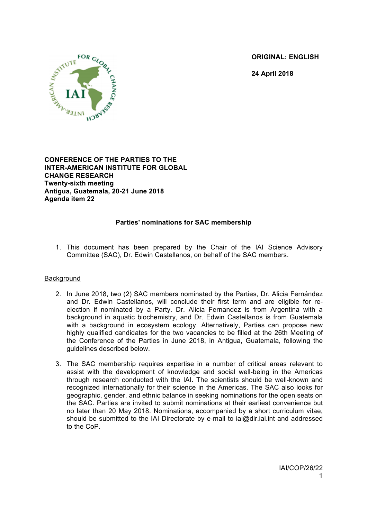**ORIGINAL: ENGLISH**

**24 April 2018**



**CONFERENCE OF THE PARTIES TO THE INTER-AMERICAN INSTITUTE FOR GLOBAL CHANGE RESEARCH Twenty-sixth meeting Antigua, Guatemala, 20-21 June 2018 Agenda item 22**

## **Parties' nominations for SAC membership**

1. This document has been prepared by the Chair of the IAI Science Advisory Committee (SAC), Dr. Edwin Castellanos, on behalf of the SAC members.

## Background

- 2. In June 2018, two (2) SAC members nominated by the Parties, Dr. Alicia Fernández and Dr. Edwin Castellanos, will conclude their first term and are eligible for reelection if nominated by a Party. Dr. Alicia Fernandez is from Argentina with a background in aquatic biochemistry, and Dr. Edwin Castellanos is from Guatemala with a background in ecosystem ecology. Alternatively, Parties can propose new highly qualified candidates for the two vacancies to be filled at the 26th Meeting of the Conference of the Parties in June 2018, in Antigua, Guatemala, following the guidelines described below.
- 3. The SAC membership requires expertise in a number of critical areas relevant to assist with the development of knowledge and social well-being in the Americas through research conducted with the IAI. The scientists should be well-known and recognized internationally for their science in the Americas. The SAC also looks for geographic, gender, and ethnic balance in seeking nominations for the open seats on the SAC. Parties are invited to submit nominations at their earliest convenience but no later than 20 May 2018. Nominations, accompanied by a short curriculum vitae, should be submitted to the IAI Directorate by e-mail to iai@dir.iai.int and addressed to the CoP.